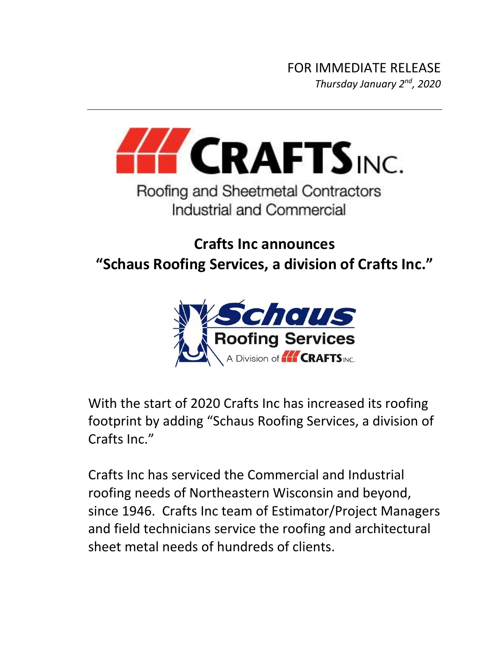

## Industrial and Commercial

## **Crafts Inc announces "Schaus Roofing Services, a division of Crafts Inc."**



With the start of 2020 Crafts Inc has increased its roofing footprint by adding "Schaus Roofing Services, a division of Crafts Inc."

Crafts Inc has serviced the Commercial and Industrial roofing needs of Northeastern Wisconsin and beyond, since 1946. Crafts Inc team of Estimator/Project Managers and field technicians service the roofing and architectural sheet metal needs of hundreds of clients.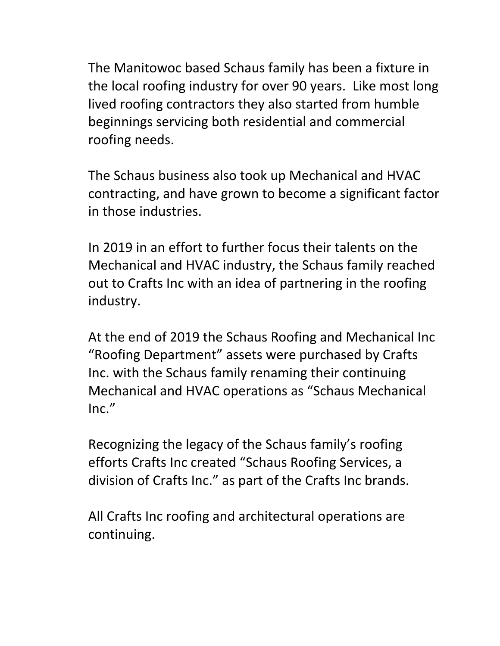The Manitowoc based Schaus family has been a fixture in the local roofing industry for over 90 years. Like most long lived roofing contractors they also started from humble beginnings servicing both residential and commercial roofing needs.

The Schaus business also took up Mechanical and HVAC contracting, and have grown to become a significant factor in those industries.

In 2019 in an effort to further focus their talents on the Mechanical and HVAC industry, the Schaus family reached out to Crafts Inc with an idea of partnering in the roofing industry.

At the end of 2019 the Schaus Roofing and Mechanical Inc "Roofing Department" assets were purchased by Crafts Inc. with the Schaus family renaming their continuing Mechanical and HVAC operations as "Schaus Mechanical  $Inc."$ 

Recognizing the legacy of the Schaus family's roofing efforts Crafts Inc created "Schaus Roofing Services, a division of Crafts Inc." as part of the Crafts Inc brands.

All Crafts Inc roofing and architectural operations are continuing.